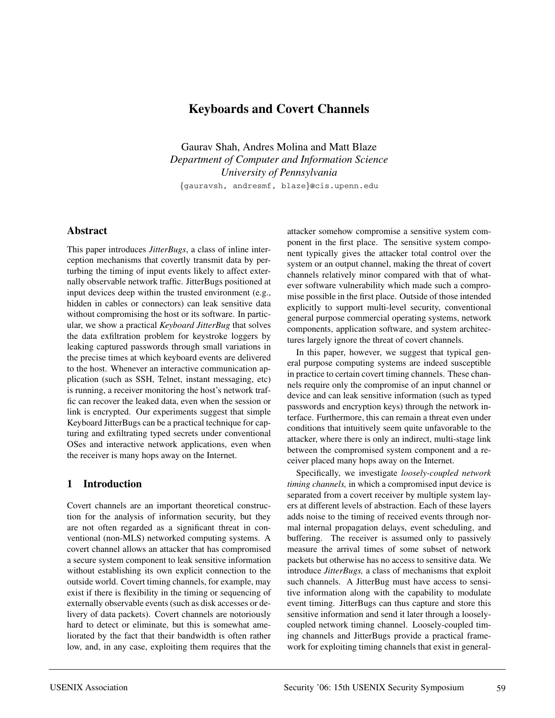# **Keyboards and Covert Channels**

Gaurav Shah, Andres Molina and Matt Blaze *Department of Computer and Information Science University of Pennsylvania* {gauravsh, andresmf, blaze}@cis.upenn.edu

### **Abstract**

This paper introduces *JitterBugs*, a class of inline interception mechanisms that covertly transmit data by perturbing the timing of input events likely to affect externally observable network traffic. JitterBugs positioned at input devices deep within the trusted environment (e.g., hidden in cables or connectors) can leak sensitive data without compromising the host or its software. In particular, we show a practical *Keyboard JitterBug* that solves the data exfiltration problem for keystroke loggers by leaking captured passwords through small variations in the precise times at which keyboard events are delivered to the host. Whenever an interactive communication application (such as SSH, Telnet, instant messaging, etc) is running, a receiver monitoring the host's network traffic can recover the leaked data, even when the session or link is encrypted. Our experiments suggest that simple Keyboard JitterBugs can be a practical technique for capturing and exfiltrating typed secrets under conventional OSes and interactive network applications, even when the receiver is many hops away on the Internet.

## **1 Introduction**

Covert channels are an important theoretical construction for the analysis of information security, but they are not often regarded as a significant threat in conventional (non-MLS) networked computing systems. A covert channel allows an attacker that has compromised a secure system component to leak sensitive information without establishing its own explicit connection to the outside world. Covert timing channels, for example, may exist if there is flexibility in the timing or sequencing of externally observable events (such as disk accesses or delivery of data packets). Covert channels are notoriously hard to detect or eliminate, but this is somewhat ameliorated by the fact that their bandwidth is often rather low, and, in any case, exploiting them requires that the

attacker somehow compromise a sensitive system component in the first place. The sensitive system component typically gives the attacker total control over the system or an output channel, making the threat of covert channels relatively minor compared with that of whatever software vulnerability which made such a compromise possible in the first place. Outside of those intended explicitly to support multi-level security, conventional general purpose commercial operating systems, network components, application software, and system architectures largely ignore the threat of covert channels.

In this paper, however, we suggest that typical general purpose computing systems are indeed susceptible in practice to certain covert timing channels. These channels require only the compromise of an input channel or device and can leak sensitive information (such as typed passwords and encryption keys) through the network interface. Furthermore, this can remain a threat even under conditions that intuitively seem quite unfavorable to the attacker, where there is only an indirect, multi-stage link between the compromised system component and a receiver placed many hops away on the Internet.

Specifically, we investigate *loosely-coupled network timing channels,* in which a compromised input device is separated from a covert receiver by multiple system layers at different levels of abstraction. Each of these layers adds noise to the timing of received events through normal internal propagation delays, event scheduling, and buffering. The receiver is assumed only to passively measure the arrival times of some subset of network packets but otherwise has no access to sensitive data. We introduce *JitterBugs,* a class of mechanisms that exploit such channels. A JitterBug must have access to sensitive information along with the capability to modulate event timing. JitterBugs can thus capture and store this sensitive information and send it later through a looselycoupled network timing channel. Loosely-coupled timing channels and JitterBugs provide a practical framework for exploiting timing channels that exist in general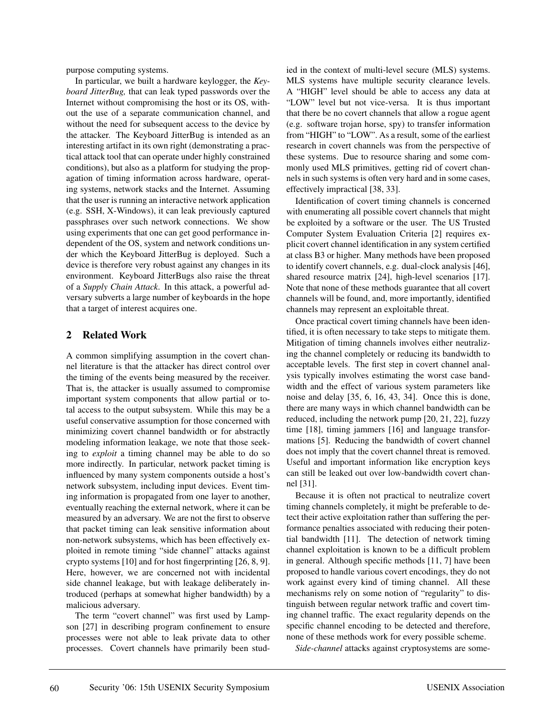purpose computing systems.

In particular, we built a hardware keylogger, the *Keyboard JitterBug,* that can leak typed passwords over the Internet without compromising the host or its OS, without the use of a separate communication channel, and without the need for subsequent access to the device by the attacker. The Keyboard JitterBug is intended as an interesting artifact in its own right (demonstrating a practical attack tool that can operate under highly constrained conditions), but also as a platform for studying the propagation of timing information across hardware, operating systems, network stacks and the Internet. Assuming that the user is running an interactive network application (e.g. SSH, X-Windows), it can leak previously captured passphrases over such network connections. We show using experiments that one can get good performance independent of the OS, system and network conditions under which the Keyboard JitterBug is deployed. Such a device is therefore very robust against any changes in its environment. Keyboard JitterBugs also raise the threat of a *Supply Chain Attack*. In this attack, a powerful adversary subverts a large number of keyboards in the hope that a target of interest acquires one.

### **2 Related Work**

A common simplifying assumption in the covert channel literature is that the attacker has direct control over the timing of the events being measured by the receiver. That is, the attacker is usually assumed to compromise important system components that allow partial or total access to the output subsystem. While this may be a useful conservative assumption for those concerned with minimizing covert channel bandwidth or for abstractly modeling information leakage, we note that those seeking to *exploit* a timing channel may be able to do so more indirectly. In particular, network packet timing is influenced by many system components outside a host's network subsystem, including input devices. Event timing information is propagated from one layer to another, eventually reaching the external network, where it can be measured by an adversary. We are not the first to observe that packet timing can leak sensitive information about non-network subsystems, which has been effectively exploited in remote timing "side channel" attacks against crypto systems [10] and for host fingerprinting [26, 8, 9]. Here, however, we are concerned not with incidental side channel leakage, but with leakage deliberately introduced (perhaps at somewhat higher bandwidth) by a malicious adversary.

The term "covert channel" was first used by Lampson [27] in describing program confinement to ensure processes were not able to leak private data to other processes. Covert channels have primarily been studied in the context of multi-level secure (MLS) systems. MLS systems have multiple security clearance levels. A "HIGH" level should be able to access any data at "LOW" level but not vice-versa. It is thus important that there be no covert channels that allow a rogue agent (e.g. software trojan horse, spy) to transfer information from "HIGH" to "LOW". As a result, some of the earliest research in covert channels was from the perspective of these systems. Due to resource sharing and some commonly used MLS primitives, getting rid of covert channels in such systems is often very hard and in some cases, effectively impractical [38, 33].

Identification of covert timing channels is concerned with enumerating all possible covert channels that might be exploited by a software or the user. The US Trusted Computer System Evaluation Criteria [2] requires explicit covert channel identification in any system certified at class B3 or higher. Many methods have been proposed to identify covert channels, e.g. dual-clock analysis [46], shared resource matrix [24], high-level scenarios [17]. Note that none of these methods guarantee that all covert channels will be found, and, more importantly, identified channels may represent an exploitable threat.

Once practical covert timing channels have been identified, it is often necessary to take steps to mitigate them. Mitigation of timing channels involves either neutralizing the channel completely or reducing its bandwidth to acceptable levels. The first step in covert channel analysis typically involves estimating the worst case bandwidth and the effect of various system parameters like noise and delay [35, 6, 16, 43, 34]. Once this is done, there are many ways in which channel bandwidth can be reduced, including the network pump [20, 21, 22], fuzzy time [18], timing jammers [16] and language transformations [5]. Reducing the bandwidth of covert channel does not imply that the covert channel threat is removed. Useful and important information like encryption keys can still be leaked out over low-bandwidth covert channel [31].

Because it is often not practical to neutralize covert timing channels completely, it might be preferable to detect their active exploitation rather than suffering the performance penalties associated with reducing their potential bandwidth [11]. The detection of network timing channel exploitation is known to be a difficult problem in general. Although specific methods [11, 7] have been proposed to handle various covert encodings, they do not work against every kind of timing channel. All these mechanisms rely on some notion of "regularity" to distinguish between regular network traffic and covert timing channel traffic. The exact regularity depends on the specific channel encoding to be detected and therefore, none of these methods work for every possible scheme.

*Side-channel* attacks against cryptosystems are some-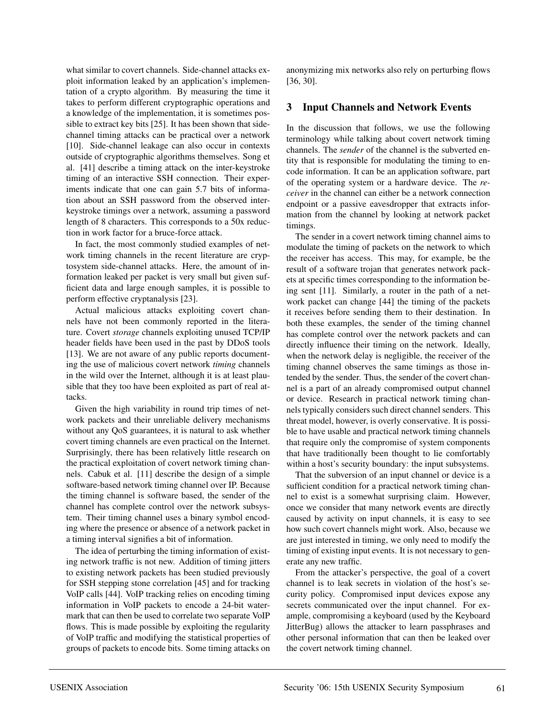what similar to covert channels. Side-channel attacks exploit information leaked by an application's implementation of a crypto algorithm. By measuring the time it takes to perform different cryptographic operations and a knowledge of the implementation, it is sometimes possible to extract key bits [25]. It has been shown that sidechannel timing attacks can be practical over a network [10]. Side-channel leakage can also occur in contexts outside of cryptographic algorithms themselves. Song et al. [41] describe a timing attack on the inter-keystroke timing of an interactive SSH connection. Their experiments indicate that one can gain 5.7 bits of information about an SSH password from the observed interkeystroke timings over a network, assuming a password length of 8 characters. This corresponds to a 50x reduction in work factor for a bruce-force attack.

In fact, the most commonly studied examples of network timing channels in the recent literature are cryptosystem side-channel attacks. Here, the amount of information leaked per packet is very small but given sufficient data and large enough samples, it is possible to perform effective cryptanalysis [23].

Actual malicious attacks exploiting covert channels have not been commonly reported in the literature. Covert *storage* channels exploiting unused TCP/IP header fields have been used in the past by DDoS tools [13]. We are not aware of any public reports documenting the use of malicious covert network *timing* channels in the wild over the Internet, although it is at least plausible that they too have been exploited as part of real attacks.

Given the high variability in round trip times of network packets and their unreliable delivery mechanisms without any QoS guarantees, it is natural to ask whether covert timing channels are even practical on the Internet. Surprisingly, there has been relatively little research on the practical exploitation of covert network timing channels. Cabuk et al. [11] describe the design of a simple software-based network timing channel over IP. Because the timing channel is software based, the sender of the channel has complete control over the network subsystem. Their timing channel uses a binary symbol encoding where the presence or absence of a network packet in a timing interval signifies a bit of information.

The idea of perturbing the timing information of existing network traffic is not new. Addition of timing jitters to existing network packets has been studied previously for SSH stepping stone correlation [45] and for tracking VoIP calls [44]. VoIP tracking relies on encoding timing information in VoIP packets to encode a 24-bit watermark that can then be used to correlate two separate VoIP flows. This is made possible by exploiting the regularity of VoIP traffic and modifying the statistical properties of groups of packets to encode bits. Some timing attacks on anonymizing mix networks also rely on perturbing flows [36, 30].

# **3 Input Channels and Network Events**

In the discussion that follows, we use the following terminology while talking about covert network timing channels. The *sender* of the channel is the subverted entity that is responsible for modulating the timing to encode information. It can be an application software, part of the operating system or a hardware device. The *receiver* in the channel can either be a network connection endpoint or a passive eavesdropper that extracts information from the channel by looking at network packet timings.

The sender in a covert network timing channel aims to modulate the timing of packets on the network to which the receiver has access. This may, for example, be the result of a software trojan that generates network packets at specific times corresponding to the information being sent [11]. Similarly, a router in the path of a network packet can change [44] the timing of the packets it receives before sending them to their destination. In both these examples, the sender of the timing channel has complete control over the network packets and can directly influence their timing on the network. Ideally, when the network delay is negligible, the receiver of the timing channel observes the same timings as those intended by the sender. Thus, the sender of the covert channel is a part of an already compromised output channel or device. Research in practical network timing channels typically considers such direct channel senders. This threat model, however, is overly conservative. It is possible to have usable and practical network timing channels that require only the compromise of system components that have traditionally been thought to lie comfortably within a host's security boundary: the input subsystems.

That the subversion of an input channel or device is a sufficient condition for a practical network timing channel to exist is a somewhat surprising claim. However, once we consider that many network events are directly caused by activity on input channels, it is easy to see how such covert channels might work. Also, because we are just interested in timing, we only need to modify the timing of existing input events. It is not necessary to generate any new traffic.

From the attacker's perspective, the goal of a covert channel is to leak secrets in violation of the host's security policy. Compromised input devices expose any secrets communicated over the input channel. For example, compromising a keyboard (used by the Keyboard JitterBug) allows the attacker to learn passphrases and other personal information that can then be leaked over the covert network timing channel.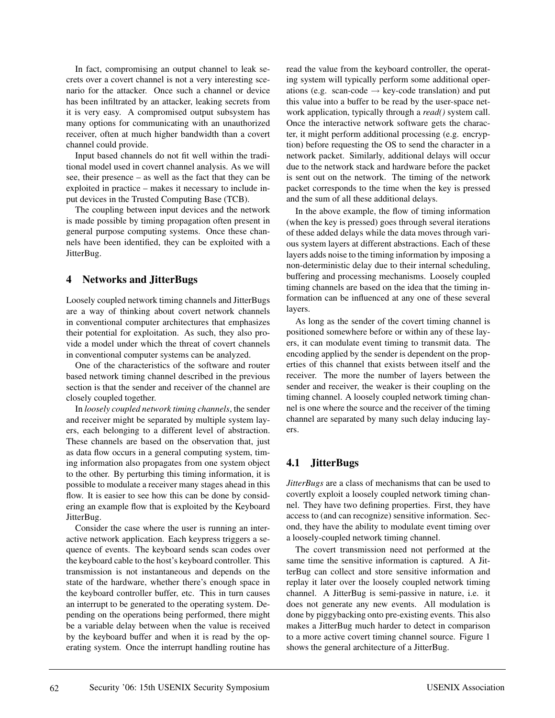In fact, compromising an output channel to leak secrets over a covert channel is not a very interesting scenario for the attacker. Once such a channel or device has been infiltrated by an attacker, leaking secrets from it is very easy. A compromised output subsystem has many options for communicating with an unauthorized receiver, often at much higher bandwidth than a covert channel could provide.

Input based channels do not fit well within the traditional model used in covert channel analysis. As we will see, their presence – as well as the fact that they can be exploited in practice – makes it necessary to include input devices in the Trusted Computing Base (TCB).

The coupling between input devices and the network is made possible by timing propagation often present in general purpose computing systems. Once these channels have been identified, they can be exploited with a JitterBug.

## **4 Networks and JitterBugs**

Loosely coupled network timing channels and JitterBugs are a way of thinking about covert network channels in conventional computer architectures that emphasizes their potential for exploitation. As such, they also provide a model under which the threat of covert channels in conventional computer systems can be analyzed.

One of the characteristics of the software and router based network timing channel described in the previous section is that the sender and receiver of the channel are closely coupled together.

In *loosely coupled network timing channels*, the sender and receiver might be separated by multiple system layers, each belonging to a different level of abstraction. These channels are based on the observation that, just as data flow occurs in a general computing system, timing information also propagates from one system object to the other. By perturbing this timing information, it is possible to modulate a receiver many stages ahead in this flow. It is easier to see how this can be done by considering an example flow that is exploited by the Keyboard JitterBug.

Consider the case where the user is running an interactive network application. Each keypress triggers a sequence of events. The keyboard sends scan codes over the keyboard cable to the host's keyboard controller. This transmission is not instantaneous and depends on the state of the hardware, whether there's enough space in the keyboard controller buffer, etc. This in turn causes an interrupt to be generated to the operating system. Depending on the operations being performed, there might be a variable delay between when the value is received by the keyboard buffer and when it is read by the operating system. Once the interrupt handling routine has

read the value from the keyboard controller, the operating system will typically perform some additional operations (e.g. scan-code  $\rightarrow$  key-code translation) and put this value into a buffer to be read by the user-space network application, typically through a *read()* system call. Once the interactive network software gets the character, it might perform additional processing (e.g. encryption) before requesting the OS to send the character in a network packet. Similarly, additional delays will occur due to the network stack and hardware before the packet is sent out on the network. The timing of the network packet corresponds to the time when the key is pressed and the sum of all these additional delays.

In the above example, the flow of timing information (when the key is pressed) goes through several iterations of these added delays while the data moves through various system layers at different abstractions. Each of these layers adds noise to the timing information by imposing a non-deterministic delay due to their internal scheduling, buffering and processing mechanisms. Loosely coupled timing channels are based on the idea that the timing information can be influenced at any one of these several layers.

As long as the sender of the covert timing channel is positioned somewhere before or within any of these layers, it can modulate event timing to transmit data. The encoding applied by the sender is dependent on the properties of this channel that exists between itself and the receiver. The more the number of layers between the sender and receiver, the weaker is their coupling on the timing channel. A loosely coupled network timing channel is one where the source and the receiver of the timing channel are separated by many such delay inducing layers.

# **4.1 JitterBugs**

*JitterBugs* are a class of mechanisms that can be used to covertly exploit a loosely coupled network timing channel. They have two defining properties. First, they have access to (and can recognize) sensitive information. Second, they have the ability to modulate event timing over a loosely-coupled network timing channel.

The covert transmission need not performed at the same time the sensitive information is captured. A JitterBug can collect and store sensitive information and replay it later over the loosely coupled network timing channel. A JitterBug is semi-passive in nature, i.e. it does not generate any new events. All modulation is done by piggybacking onto pre-existing events. This also makes a JitterBug much harder to detect in comparison to a more active covert timing channel source. Figure 1 shows the general architecture of a JitterBug.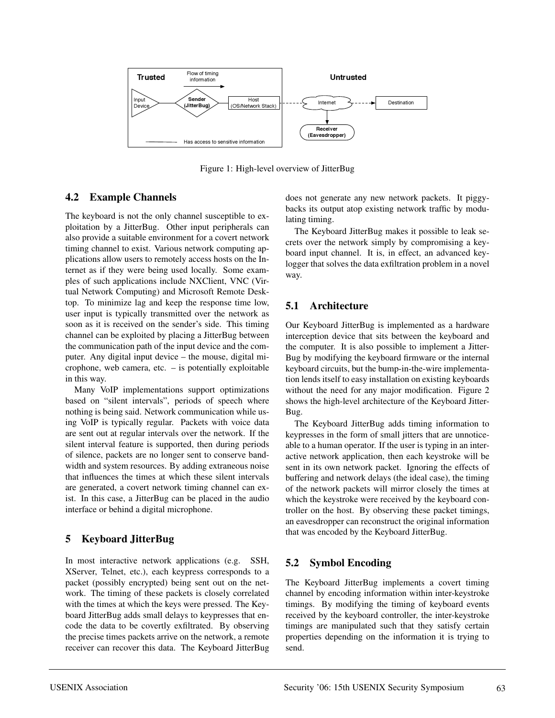

Figure 1: High-level overview of JitterBug

## **4.2 Example Channels**

The keyboard is not the only channel susceptible to exploitation by a JitterBug. Other input peripherals can also provide a suitable environment for a covert network timing channel to exist. Various network computing applications allow users to remotely access hosts on the Internet as if they were being used locally. Some examples of such applications include NXClient, VNC (Virtual Network Computing) and Microsoft Remote Desktop. To minimize lag and keep the response time low, user input is typically transmitted over the network as soon as it is received on the sender's side. This timing channel can be exploited by placing a JitterBug between the communication path of the input device and the computer. Any digital input device – the mouse, digital microphone, web camera, etc. – is potentially exploitable in this way.

Many VoIP implementations support optimizations based on "silent intervals", periods of speech where nothing is being said. Network communication while using VoIP is typically regular. Packets with voice data are sent out at regular intervals over the network. If the silent interval feature is supported, then during periods of silence, packets are no longer sent to conserve bandwidth and system resources. By adding extraneous noise that influences the times at which these silent intervals are generated, a covert network timing channel can exist. In this case, a JitterBug can be placed in the audio interface or behind a digital microphone.

# **5 Keyboard JitterBug**

In most interactive network applications (e.g. SSH, XServer, Telnet, etc.), each keypress corresponds to a packet (possibly encrypted) being sent out on the network. The timing of these packets is closely correlated with the times at which the keys were pressed. The Keyboard JitterBug adds small delays to keypresses that encode the data to be covertly exfiltrated. By observing the precise times packets arrive on the network, a remote receiver can recover this data. The Keyboard JitterBug does not generate any new network packets. It piggybacks its output atop existing network traffic by modulating timing.

The Keyboard JitterBug makes it possible to leak secrets over the network simply by compromising a keyboard input channel. It is, in effect, an advanced keylogger that solves the data exfiltration problem in a novel way.

# **5.1 Architecture**

Our Keyboard JitterBug is implemented as a hardware interception device that sits between the keyboard and the computer. It is also possible to implement a Jitter-Bug by modifying the keyboard firmware or the internal keyboard circuits, but the bump-in-the-wire implementation lends itself to easy installation on existing keyboards without the need for any major modification. Figure 2 shows the high-level architecture of the Keyboard Jitter-Bug.

The Keyboard JitterBug adds timing information to keypresses in the form of small jitters that are unnoticeable to a human operator. If the user is typing in an interactive network application, then each keystroke will be sent in its own network packet. Ignoring the effects of buffering and network delays (the ideal case), the timing of the network packets will mirror closely the times at which the keystroke were received by the keyboard controller on the host. By observing these packet timings, an eavesdropper can reconstruct the original information that was encoded by the Keyboard JitterBug.

# **5.2 Symbol Encoding**

The Keyboard JitterBug implements a covert timing channel by encoding information within inter-keystroke timings. By modifying the timing of keyboard events received by the keyboard controller, the inter-keystroke timings are manipulated such that they satisfy certain properties depending on the information it is trying to send.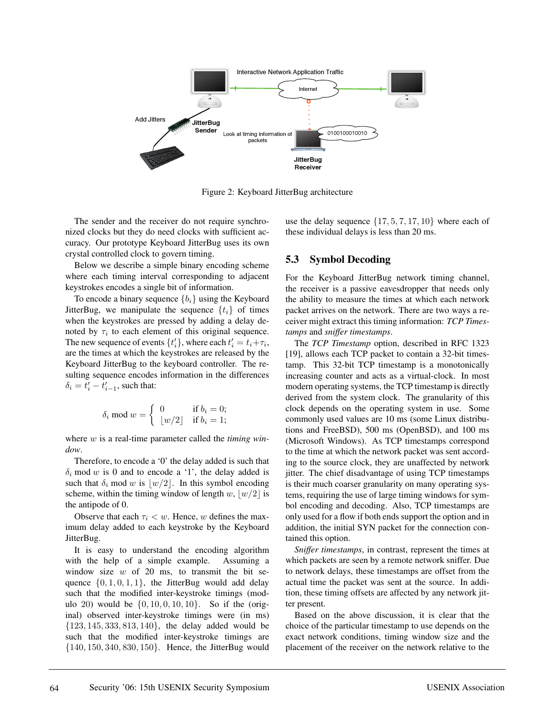

Figure 2: Keyboard JitterBug architecture

The sender and the receiver do not require synchronized clocks but they do need clocks with sufficient accuracy. Our prototype Keyboard JitterBug uses its own crystal controlled clock to govern timing.

Below we describe a simple binary encoding scheme where each timing interval corresponding to adjacent keystrokes encodes a single bit of information.

To encode a binary sequence  ${b_i}$  using the Keyboard JitterBug, we manipulate the sequence  $\{t_i\}$  of times when the keystrokes are pressed by adding a delay denoted by  $\tau_i$  to each element of this original sequence. The new sequence of events  $\{t_i'\}$ , where each  $t_i' = t_i + \tau_i$ , are the times at which the keystrokes are released by the Keyboard JitterBug to the keyboard controller. The resulting sequence encodes information in the differences  $\delta_i = t'_i - t'_{i-1}$ , such that:

$$
\delta_i \bmod w = \begin{cases} 0 & \text{if } b_i = 0; \\ \lfloor w/2 \rfloor & \text{if } b_i = 1; \end{cases}
$$

where w is a real-time parameter called the *timing window*.

Therefore, to encode a '0' the delay added is such that  $\delta_i$  mod w is 0 and to encode a '1', the delay added is such that  $\delta_i$  mod w is  $\lfloor w/2 \rfloor$ . In this symbol encoding scheme, within the timing window of length w,  $|w/2|$  is the antipode of 0.

Observe that each  $\tau_i < w$ . Hence, w defines the maximum delay added to each keystroke by the Keyboard JitterBug.

It is easy to understand the encoding algorithm with the help of a simple example. Assuming a window size  $w$  of 20 ms, to transmit the bit sequence  $\{0, 1, 0, 1, 1\}$ , the JitterBug would add delay such that the modified inter-keystroke timings (modulo 20) would be  $\{0, 10, 0, 10, 10\}$ . So if the (original) observed inter-keystroke timings were (in ms)  ${123, 145, 333, 813, 140}$ , the delay added would be such that the modified inter-keystroke timings are {140, 150, 340, 830, 150}. Hence, the JitterBug would use the delay sequence  $\{17, 5, 7, 17, 10\}$  where each of these individual delays is less than 20 ms.

### **5.3 Symbol Decoding**

For the Keyboard JitterBug network timing channel, the receiver is a passive eavesdropper that needs only the ability to measure the times at which each network packet arrives on the network. There are two ways a receiver might extract this timing information: *TCP Timestamps* and *sniffer timestamps*.

The *TCP Timestamp* option, described in RFC 1323 [19], allows each TCP packet to contain a 32-bit timestamp. This 32-bit TCP timestamp is a monotonically increasing counter and acts as a virtual-clock. In most modern operating systems, the TCP timestamp is directly derived from the system clock. The granularity of this clock depends on the operating system in use. Some commonly used values are 10 ms (some Linux distributions and FreeBSD), 500 ms (OpenBSD), and 100 ms (Microsoft Windows). As TCP timestamps correspond to the time at which the network packet was sent according to the source clock, they are unaffected by network jitter. The chief disadvantage of using TCP timestamps is their much coarser granularity on many operating systems, requiring the use of large timing windows for symbol encoding and decoding. Also, TCP timestamps are only used for a flow if both ends support the option and in addition, the initial SYN packet for the connection contained this option.

*Sniffer timestamps*, in contrast, represent the times at which packets are seen by a remote network sniffer. Due to network delays, these timestamps are offset from the actual time the packet was sent at the source. In addition, these timing offsets are affected by any network jitter present.

Based on the above discussion, it is clear that the choice of the particular timestamp to use depends on the exact network conditions, timing window size and the placement of the receiver on the network relative to the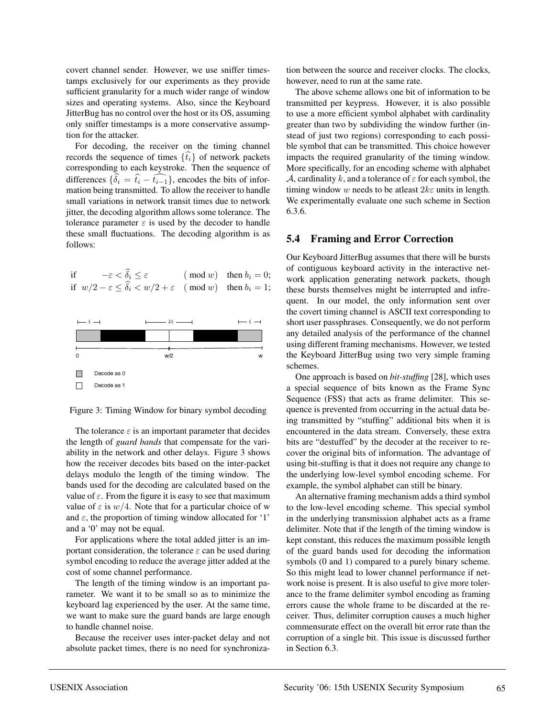covert channel sender. However, we use sniffer timestamps exclusively for our experiments as they provide sufficient granularity for a much wider range of window sizes and operating systems. Also, since the Keyboard JitterBug has no control over the host or its OS, assuming only sniffer timestamps is a more conservative assumption for the attacker.

For decoding, the receiver on the timing channel records the sequence of times  $\{\hat{t}_i\}$  of network packets corresponding to each keystroke. Then the sequence of differences  $\{\delta_i = \hat{t}_i - \hat{t}_{i-1}\}$ , encodes the bits of information being transmitted. To allow the receiver to handle small variations in network transit times due to network jitter, the decoding algorithm allows some tolerance. The tolerance parameter  $\varepsilon$  is used by the decoder to handle these small fluctuations. The decoding algorithm is as follows:

if  $-\varepsilon < \tilde{\delta}_i \le \varepsilon$  (mod w) then  $b_i = 0$ ; if  $w/2 - \varepsilon \le \delta_i < w/2 + \varepsilon \pmod{w}$  then  $b_i = 1$ ;



Figure 3: Timing Window for binary symbol decoding

The tolerance  $\varepsilon$  is an important parameter that decides the length of *guard bands* that compensate for the variability in the network and other delays. Figure 3 shows how the receiver decodes bits based on the inter-packet delays modulo the length of the timing window. The bands used for the decoding are calculated based on the value of  $\varepsilon$ . From the figure it is easy to see that maximum value of  $\varepsilon$  is  $w/4$ . Note that for a particular choice of w and  $\varepsilon$ , the proportion of timing window allocated for '1' and a '0' may not be equal.

For applications where the total added jitter is an important consideration, the tolerance  $\varepsilon$  can be used during symbol encoding to reduce the average jitter added at the cost of some channel performance.

The length of the timing window is an important parameter. We want it to be small so as to minimize the keyboard lag experienced by the user. At the same time, we want to make sure the guard bands are large enough to handle channel noise.

Because the receiver uses inter-packet delay and not absolute packet times, there is no need for synchronization between the source and receiver clocks. The clocks, however, need to run at the same rate.

The above scheme allows one bit of information to be transmitted per keypress. However, it is also possible to use a more efficient symbol alphabet with cardinality greater than two by subdividing the window further (instead of just two regions) corresponding to each possible symbol that can be transmitted. This choice however impacts the required granularity of the timing window. More specifically, for an encoding scheme with alphabet A, cardinality k, and a tolerance of  $\varepsilon$  for each symbol, the timing window w needs to be atleast  $2k\varepsilon$  units in length. We experimentally evaluate one such scheme in Section 6.3.6.

### **5.4 Framing and Error Correction**

Our Keyboard JitterBug assumes that there will be bursts of contiguous keyboard activity in the interactive network application generating network packets, though these bursts themselves might be interrupted and infrequent. In our model, the only information sent over the covert timing channel is ASCII text corresponding to short user passphrases. Consequently, we do not perform any detailed analysis of the performance of the channel using different framing mechanisms. However, we tested the Keyboard JitterBug using two very simple framing schemes.

One approach is based on *bit-stuffing* [28], which uses a special sequence of bits known as the Frame Sync Sequence (FSS) that acts as frame delimiter. This sequence is prevented from occurring in the actual data being transmitted by "stuffing" additional bits when it is encountered in the data stream. Conversely, these extra bits are "destuffed" by the decoder at the receiver to recover the original bits of information. The advantage of using bit-stuffing is that it does not require any change to the underlying low-level symbol encoding scheme. For example, the symbol alphabet can still be binary.

An alternative framing mechanism adds a third symbol to the low-level encoding scheme. This special symbol in the underlying transmission alphabet acts as a frame delimiter. Note that if the length of the timing window is kept constant, this reduces the maximum possible length of the guard bands used for decoding the information symbols (0 and 1) compared to a purely binary scheme. So this might lead to lower channel performance if network noise is present. It is also useful to give more tolerance to the frame delimiter symbol encoding as framing errors cause the whole frame to be discarded at the receiver. Thus, delimiter corruption causes a much higher commensurate effect on the overall bit error rate than the corruption of a single bit. This issue is discussed further in Section 6.3.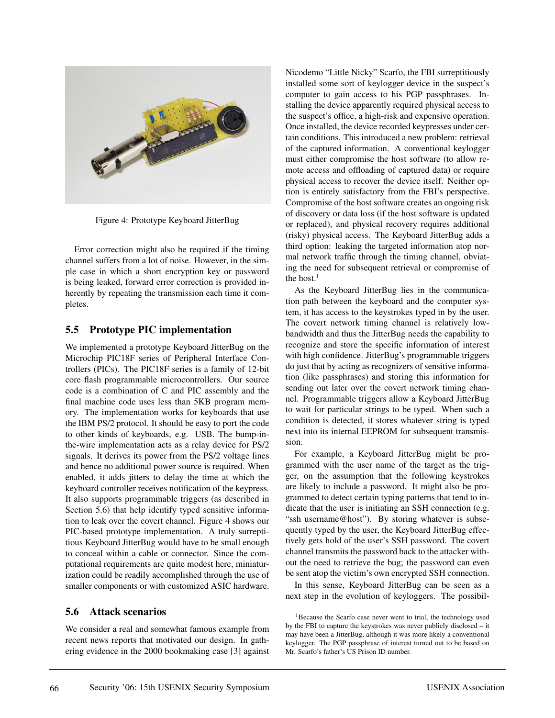

Figure 4: Prototype Keyboard JitterBug

Error correction might also be required if the timing channel suffers from a lot of noise. However, in the simple case in which a short encryption key or password is being leaked, forward error correction is provided inherently by repeating the transmission each time it completes.

## **5.5 Prototype PIC implementation**

We implemented a prototype Keyboard JitterBug on the Microchip PIC18F series of Peripheral Interface Controllers (PICs). The PIC18F series is a family of 12-bit core flash programmable microcontrollers. Our source code is a combination of C and PIC assembly and the final machine code uses less than 5KB program memory. The implementation works for keyboards that use the IBM PS/2 protocol. It should be easy to port the code to other kinds of keyboards, e.g. USB. The bump-inthe-wire implementation acts as a relay device for PS/2 signals. It derives its power from the PS/2 voltage lines and hence no additional power source is required. When enabled, it adds jitters to delay the time at which the keyboard controller receives notification of the keypress. It also supports programmable triggers (as described in Section 5.6) that help identify typed sensitive information to leak over the covert channel. Figure 4 shows our PIC-based prototype implementation. A truly surreptitious Keyboard JitterBug would have to be small enough to conceal within a cable or connector. Since the computational requirements are quite modest here, miniaturization could be readily accomplished through the use of smaller components or with customized ASIC hardware.

## **5.6 Attack scenarios**

We consider a real and somewhat famous example from recent news reports that motivated our design. In gathering evidence in the 2000 bookmaking case [3] against Nicodemo "Little Nicky" Scarfo, the FBI surreptitiously installed some sort of keylogger device in the suspect's computer to gain access to his PGP passphrases. Installing the device apparently required physical access to the suspect's office, a high-risk and expensive operation. Once installed, the device recorded keypresses under certain conditions. This introduced a new problem: retrieval of the captured information. A conventional keylogger must either compromise the host software (to allow remote access and offloading of captured data) or require physical access to recover the device itself. Neither option is entirely satisfactory from the FBI's perspective. Compromise of the host software creates an ongoing risk of discovery or data loss (if the host software is updated or replaced), and physical recovery requires additional (risky) physical access. The Keyboard JitterBug adds a third option: leaking the targeted information atop normal network traffic through the timing channel, obviating the need for subsequent retrieval or compromise of the host. $<sup>1</sup>$ </sup>

As the Keyboard JitterBug lies in the communication path between the keyboard and the computer system, it has access to the keystrokes typed in by the user. The covert network timing channel is relatively lowbandwidth and thus the JitterBug needs the capability to recognize and store the specific information of interest with high confidence. JitterBug's programmable triggers do just that by acting as recognizers of sensitive information (like passphrases) and storing this information for sending out later over the covert network timing channel. Programmable triggers allow a Keyboard JitterBug to wait for particular strings to be typed. When such a condition is detected, it stores whatever string is typed next into its internal EEPROM for subsequent transmission.

For example, a Keyboard JitterBug might be programmed with the user name of the target as the trigger, on the assumption that the following keystrokes are likely to include a password. It might also be programmed to detect certain typing patterns that tend to indicate that the user is initiating an SSH connection (e.g. "ssh username@host"). By storing whatever is subsequently typed by the user, the Keyboard JitterBug effectively gets hold of the user's SSH password. The covert channel transmits the password back to the attacker without the need to retrieve the bug; the password can even be sent atop the victim's own encrypted SSH connection.

In this sense, Keyboard JitterBug can be seen as a next step in the evolution of keyloggers. The possibil-

<sup>&</sup>lt;sup>1</sup>Because the Scarfo case never went to trial, the technology used by the FBI to capture the keystrokes was never publicly disclosed – it may have been a JitterBug, although it was more likely a conventional keylogger. The PGP passphrase of interest turned out to be based on Mr. Scarfo's father's US Prison ID number.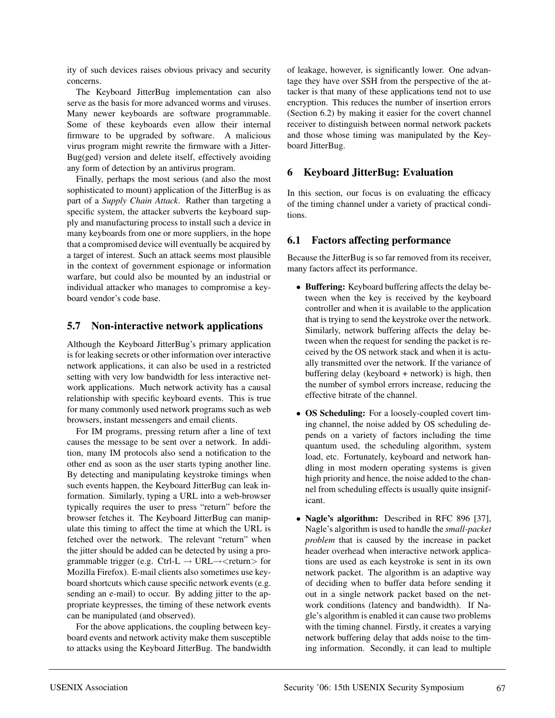ity of such devices raises obvious privacy and security concerns.

The Keyboard JitterBug implementation can also serve as the basis for more advanced worms and viruses. Many newer keyboards are software programmable. Some of these keyboards even allow their internal firmware to be upgraded by software. A malicious virus program might rewrite the firmware with a Jitter-Bug(ged) version and delete itself, effectively avoiding any form of detection by an antivirus program.

Finally, perhaps the most serious (and also the most sophisticated to mount) application of the JitterBug is as part of a *Supply Chain Attack*. Rather than targeting a specific system, the attacker subverts the keyboard supply and manufacturing process to install such a device in many keyboards from one or more suppliers, in the hope that a compromised device will eventually be acquired by a target of interest. Such an attack seems most plausible in the context of government espionage or information warfare, but could also be mounted by an industrial or individual attacker who manages to compromise a keyboard vendor's code base.

# **5.7 Non-interactive network applications**

Although the Keyboard JitterBug's primary application is for leaking secrets or other information over interactive network applications, it can also be used in a restricted setting with very low bandwidth for less interactive network applications. Much network activity has a causal relationship with specific keyboard events. This is true for many commonly used network programs such as web browsers, instant messengers and email clients.

For IM programs, pressing return after a line of text causes the message to be sent over a network. In addition, many IM protocols also send a notification to the other end as soon as the user starts typing another line. By detecting and manipulating keystroke timings when such events happen, the Keyboard JitterBug can leak information. Similarly, typing a URL into a web-browser typically requires the user to press "return" before the browser fetches it. The Keyboard JitterBug can manipulate this timing to affect the time at which the URL is fetched over the network. The relevant "return" when the jitter should be added can be detected by using a programmable trigger (e.g. Ctrl-L  $\rightarrow$  URL $\rightarrow$  < return > for Mozilla Firefox). E-mail clients also sometimes use keyboard shortcuts which cause specific network events (e.g. sending an e-mail) to occur. By adding jitter to the appropriate keypresses, the timing of these network events can be manipulated (and observed).

For the above applications, the coupling between keyboard events and network activity make them susceptible to attacks using the Keyboard JitterBug. The bandwidth of leakage, however, is significantly lower. One advantage they have over SSH from the perspective of the attacker is that many of these applications tend not to use encryption. This reduces the number of insertion errors (Section 6.2) by making it easier for the covert channel receiver to distinguish between normal network packets and those whose timing was manipulated by the Keyboard JitterBug.

# **6 Keyboard JitterBug: Evaluation**

In this section, our focus is on evaluating the efficacy of the timing channel under a variety of practical conditions.

# **6.1 Factors affecting performance**

Because the JitterBug is so far removed from its receiver, many factors affect its performance.

- **Buffering:** Keyboard buffering affects the delay between when the key is received by the keyboard controller and when it is available to the application that is trying to send the keystroke over the network. Similarly, network buffering affects the delay between when the request for sending the packet is received by the OS network stack and when it is actually transmitted over the network. If the variance of buffering delay (keyboard + network) is high, then the number of symbol errors increase, reducing the effective bitrate of the channel.
- **OS Scheduling:** For a loosely-coupled covert timing channel, the noise added by OS scheduling depends on a variety of factors including the time quantum used, the scheduling algorithm, system load, etc. Fortunately, keyboard and network handling in most modern operating systems is given high priority and hence, the noise added to the channel from scheduling effects is usually quite insignificant.
- **Nagle's algorithm:** Described in RFC 896 [37], Nagle's algorithm is used to handle the *small-packet problem* that is caused by the increase in packet header overhead when interactive network applications are used as each keystroke is sent in its own network packet. The algorithm is an adaptive way of deciding when to buffer data before sending it out in a single network packet based on the network conditions (latency and bandwidth). If Nagle's algorithm is enabled it can cause two problems with the timing channel. Firstly, it creates a varying network buffering delay that adds noise to the timing information. Secondly, it can lead to multiple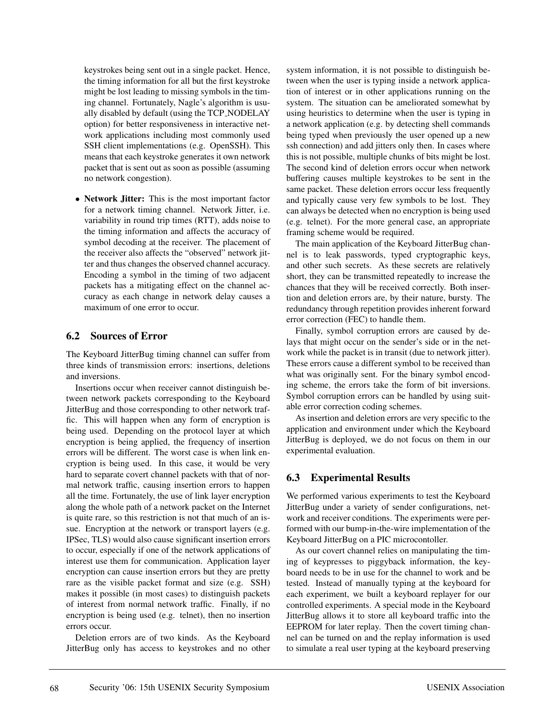keystrokes being sent out in a single packet. Hence, the timing information for all but the first keystroke might be lost leading to missing symbols in the timing channel. Fortunately, Nagle's algorithm is usually disabled by default (using the TCP NODELAY option) for better responsiveness in interactive network applications including most commonly used SSH client implementations (e.g. OpenSSH). This means that each keystroke generates it own network packet that is sent out as soon as possible (assuming no network congestion).

• **Network Jitter:** This is the most important factor for a network timing channel. Network Jitter, i.e. variability in round trip times (RTT), adds noise to the timing information and affects the accuracy of symbol decoding at the receiver. The placement of the receiver also affects the "observed" network jitter and thus changes the observed channel accuracy. Encoding a symbol in the timing of two adjacent packets has a mitigating effect on the channel accuracy as each change in network delay causes a maximum of one error to occur.

## **6.2 Sources of Error**

The Keyboard JitterBug timing channel can suffer from three kinds of transmission errors: insertions, deletions and inversions.

Insertions occur when receiver cannot distinguish between network packets corresponding to the Keyboard JitterBug and those corresponding to other network traffic. This will happen when any form of encryption is being used. Depending on the protocol layer at which encryption is being applied, the frequency of insertion errors will be different. The worst case is when link encryption is being used. In this case, it would be very hard to separate covert channel packets with that of normal network traffic, causing insertion errors to happen all the time. Fortunately, the use of link layer encryption along the whole path of a network packet on the Internet is quite rare, so this restriction is not that much of an issue. Encryption at the network or transport layers (e.g. IPSec, TLS) would also cause significant insertion errors to occur, especially if one of the network applications of interest use them for communication. Application layer encryption can cause insertion errors but they are pretty rare as the visible packet format and size (e.g. SSH) makes it possible (in most cases) to distinguish packets of interest from normal network traffic. Finally, if no encryption is being used (e.g. telnet), then no insertion errors occur.

Deletion errors are of two kinds. As the Keyboard JitterBug only has access to keystrokes and no other system information, it is not possible to distinguish between when the user is typing inside a network application of interest or in other applications running on the system. The situation can be ameliorated somewhat by using heuristics to determine when the user is typing in a network application (e.g. by detecting shell commands being typed when previously the user opened up a new ssh connection) and add jitters only then. In cases where this is not possible, multiple chunks of bits might be lost. The second kind of deletion errors occur when network buffering causes multiple keystrokes to be sent in the same packet. These deletion errors occur less frequently and typically cause very few symbols to be lost. They can always be detected when no encryption is being used (e.g. telnet). For the more general case, an appropriate framing scheme would be required.

The main application of the Keyboard JitterBug channel is to leak passwords, typed cryptographic keys, and other such secrets. As these secrets are relatively short, they can be transmitted repeatedly to increase the chances that they will be received correctly. Both insertion and deletion errors are, by their nature, bursty. The redundancy through repetition provides inherent forward error correction (FEC) to handle them.

Finally, symbol corruption errors are caused by delays that might occur on the sender's side or in the network while the packet is in transit (due to network jitter). These errors cause a different symbol to be received than what was originally sent. For the binary symbol encoding scheme, the errors take the form of bit inversions. Symbol corruption errors can be handled by using suitable error correction coding schemes.

As insertion and deletion errors are very specific to the application and environment under which the Keyboard JitterBug is deployed, we do not focus on them in our experimental evaluation.

# **6.3 Experimental Results**

We performed various experiments to test the Keyboard JitterBug under a variety of sender configurations, network and receiver conditions. The experiments were performed with our bump-in-the-wire implementation of the Keyboard JitterBug on a PIC microcontoller.

As our covert channel relies on manipulating the timing of keypresses to piggyback information, the keyboard needs to be in use for the channel to work and be tested. Instead of manually typing at the keyboard for each experiment, we built a keyboard replayer for our controlled experiments. A special mode in the Keyboard JitterBug allows it to store all keyboard traffic into the EEPROM for later replay. Then the covert timing channel can be turned on and the replay information is used to simulate a real user typing at the keyboard preserving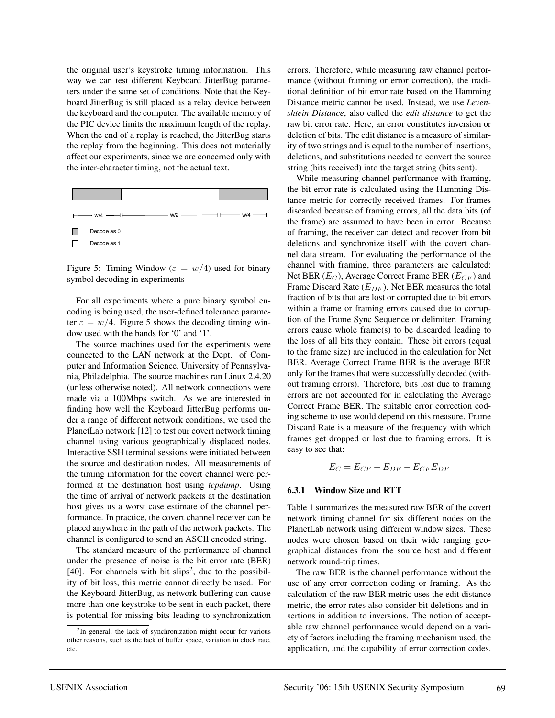the original user's keystroke timing information. This way we can test different Keyboard JitterBug parameters under the same set of conditions. Note that the Keyboard JitterBug is still placed as a relay device between the keyboard and the computer. The available memory of the PIC device limits the maximum length of the replay. When the end of a replay is reached, the JitterBug starts the replay from the beginning. This does not materially affect our experiments, since we are concerned only with the inter-character timing, not the actual text.

| <u> 1980 - Andrea Station Books, amerikansk politiker (</u><br>$\longleftarrow$ w/4 $\longleftarrow$ + | $\overline{\phantom{a}}$ w/4 $\overline{\phantom{a}}$<br>$W/2 -$ |  |
|--------------------------------------------------------------------------------------------------------|------------------------------------------------------------------|--|
| Decode as 0                                                                                            |                                                                  |  |
| Decode as 1                                                                                            |                                                                  |  |

Figure 5: Timing Window ( $\varepsilon = w/4$ ) used for binary symbol decoding in experiments

For all experiments where a pure binary symbol encoding is being used, the user-defined tolerance parameter  $\varepsilon = w/4$ . Figure 5 shows the decoding timing window used with the bands for '0' and '1'.

The source machines used for the experiments were connected to the LAN network at the Dept. of Computer and Information Science, University of Pennsylvania, Philadelphia. The source machines ran Linux 2.4.20 (unless otherwise noted). All network connections were made via a 100Mbps switch. As we are interested in finding how well the Keyboard JitterBug performs under a range of different network conditions, we used the PlanetLab network [12] to test our covert network timing channel using various geographically displaced nodes. Interactive SSH terminal sessions were initiated between the source and destination nodes. All measurements of the timing information for the covert channel were performed at the destination host using *tcpdump*. Using the time of arrival of network packets at the destination host gives us a worst case estimate of the channel performance. In practice, the covert channel receiver can be placed anywhere in the path of the network packets. The channel is configured to send an ASCII encoded string.

The standard measure of the performance of channel under the presence of noise is the bit error rate (BER) [40]. For channels with bit slips<sup>2</sup>, due to the possibility of bit loss, this metric cannot directly be used. For the Keyboard JitterBug, as network buffering can cause more than one keystroke to be sent in each packet, there is potential for missing bits leading to synchronization errors. Therefore, while measuring raw channel performance (without framing or error correction), the traditional definition of bit error rate based on the Hamming Distance metric cannot be used. Instead, we use *Levenshtein Distance*, also called the *edit distance* to get the raw bit error rate. Here, an error constitutes inversion or deletion of bits. The edit distance is a measure of similarity of two strings and is equal to the number of insertions, deletions, and substitutions needed to convert the source string (bits received) into the target string (bits sent).

While measuring channel performance with framing, the bit error rate is calculated using the Hamming Distance metric for correctly received frames. For frames discarded because of framing errors, all the data bits (of the frame) are assumed to have been in error. Because of framing, the receiver can detect and recover from bit deletions and synchronize itself with the covert channel data stream. For evaluating the performance of the channel with framing, three parameters are calculated: Net BER  $(E_C)$ , Average Correct Frame BER  $(E_{CF})$  and Frame Discard Rate  $(E_{DF})$ . Net BER measures the total fraction of bits that are lost or corrupted due to bit errors within a frame or framing errors caused due to corruption of the Frame Sync Sequence or delimiter. Framing errors cause whole frame(s) to be discarded leading to the loss of all bits they contain. These bit errors (equal to the frame size) are included in the calculation for Net BER. Average Correct Frame BER is the average BER only for the frames that were successfully decoded (without framing errors). Therefore, bits lost due to framing errors are not accounted for in calculating the Average Correct Frame BER. The suitable error correction coding scheme to use would depend on this measure. Frame Discard Rate is a measure of the frequency with which frames get dropped or lost due to framing errors. It is easy to see that:

$$
E_C = E_{CF} + E_{DF} - E_{CF}E_{DF}
$$

### **6.3.1 Window Size and RTT**

Table 1 summarizes the measured raw BER of the covert network timing channel for six different nodes on the PlanetLab network using different window sizes. These nodes were chosen based on their wide ranging geographical distances from the source host and different network round-trip times.

The raw BER is the channel performance without the use of any error correction coding or framing. As the calculation of the raw BER metric uses the edit distance metric, the error rates also consider bit deletions and insertions in addition to inversions. The notion of acceptable raw channel performance would depend on a variety of factors including the framing mechanism used, the application, and the capability of error correction codes.

<sup>2</sup>In general, the lack of synchronization might occur for various other reasons, such as the lack of buffer space, variation in clock rate, etc.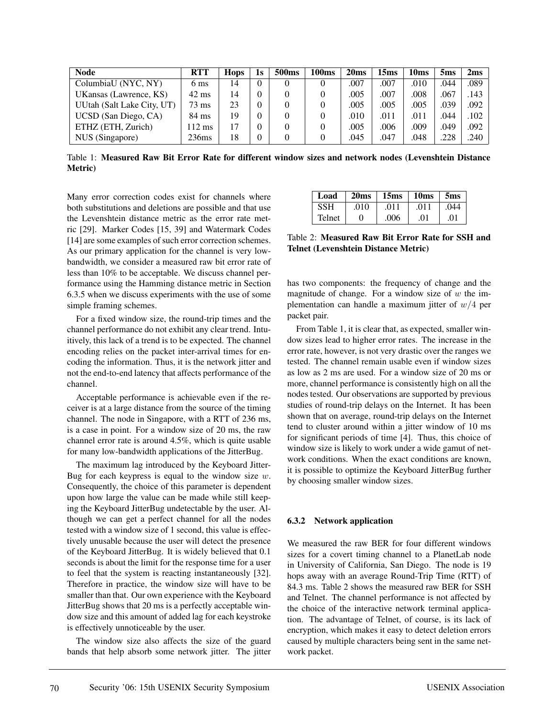| <b>Node</b>                | <b>RTT</b>       | <b>Hops</b> | ls | 500 <sub>ms</sub> | 100 <sub>ms</sub> | 20ms | 15ms | 10ms | 5 <sub>ms</sub> | 2ms  |
|----------------------------|------------------|-------------|----|-------------------|-------------------|------|------|------|-----------------|------|
| ColumbiaU (NYC, NY)        | 6 ms             | 14          |    |                   |                   | .007 | .007 | .010 | .044            | .089 |
| UKansas (Lawrence, KS)     | $42 \text{ ms}$  | 14          |    |                   |                   | .005 | .007 | .008 | .067            | .143 |
| UUtah (Salt Lake City, UT) | $73 \text{ ms}$  | 23          |    |                   |                   | .005 | .005 | .005 | .039            | .092 |
| UCSD (San Diego, CA)       | 84 ms            | 19          |    |                   |                   | .010 | .011 | .011 | .044            | .102 |
| ETHZ (ETH, Zurich)         | $112 \text{ ms}$ | 17          |    |                   |                   | .005 | .006 | .009 | .049            | .092 |
| NUS (Singapore)            | 236ms            | 18          |    |                   |                   | .045 | .047 | .048 | .228            | .240 |

Table 1: **Measured Raw Bit Error Rate for different window sizes and network nodes (Levenshtein Distance Metric)**

Many error correction codes exist for channels where both substitutions and deletions are possible and that use the Levenshtein distance metric as the error rate metric [29]. Marker Codes [15, 39] and Watermark Codes [14] are some examples of such error correction schemes. As our primary application for the channel is very lowbandwidth, we consider a measured raw bit error rate of less than 10% to be acceptable. We discuss channel performance using the Hamming distance metric in Section 6.3.5 when we discuss experiments with the use of some simple framing schemes.

For a fixed window size, the round-trip times and the channel performance do not exhibit any clear trend. Intuitively, this lack of a trend is to be expected. The channel encoding relies on the packet inter-arrival times for encoding the information. Thus, it is the network jitter and not the end-to-end latency that affects performance of the channel.

Acceptable performance is achievable even if the receiver is at a large distance from the source of the timing channel. The node in Singapore, with a RTT of 236 ms, is a case in point. For a window size of 20 ms, the raw channel error rate is around 4.5%, which is quite usable for many low-bandwidth applications of the JitterBug.

The maximum lag introduced by the Keyboard Jitter-Bug for each keypress is equal to the window size  $w$ . Consequently, the choice of this parameter is dependent upon how large the value can be made while still keeping the Keyboard JitterBug undetectable by the user. Although we can get a perfect channel for all the nodes tested with a window size of 1 second, this value is effectively unusable because the user will detect the presence of the Keyboard JitterBug. It is widely believed that 0.1 seconds is about the limit for the response time for a user to feel that the system is reacting instantaneously [32]. Therefore in practice, the window size will have to be smaller than that. Our own experience with the Keyboard JitterBug shows that 20 ms is a perfectly acceptable window size and this amount of added lag for each keystroke is effectively unnoticeable by the user.

The window size also affects the size of the guard bands that help absorb some network jitter. The jitter

| Load       | 20ms | 15 <sub>ms</sub> | 10 <sub>ms</sub> | 5 <sub>ms</sub> |
|------------|------|------------------|------------------|-----------------|
| <b>SSH</b> | .010 | .011             | .011             | .044            |
| Telnet     | 0    | .006             | .01              | .01             |

Table 2: **Measured Raw Bit Error Rate for SSH and Telnet (Levenshtein Distance Metric)**

has two components: the frequency of change and the magnitude of change. For a window size of  $w$  the implementation can handle a maximum jitter of  $w/4$  per packet pair.

From Table 1, it is clear that, as expected, smaller window sizes lead to higher error rates. The increase in the error rate, however, is not very drastic over the ranges we tested. The channel remain usable even if window sizes as low as 2 ms are used. For a window size of 20 ms or more, channel performance is consistently high on all the nodes tested. Our observations are supported by previous studies of round-trip delays on the Internet. It has been shown that on average, round-trip delays on the Internet tend to cluster around within a jitter window of 10 ms for significant periods of time [4]. Thus, this choice of window size is likely to work under a wide gamut of network conditions. When the exact conditions are known, it is possible to optimize the Keyboard JitterBug further by choosing smaller window sizes.

### **6.3.2 Network application**

We measured the raw BER for four different windows sizes for a covert timing channel to a PlanetLab node in University of California, San Diego. The node is 19 hops away with an average Round-Trip Time (RTT) of 84.3 ms. Table 2 shows the measured raw BER for SSH and Telnet. The channel performance is not affected by the choice of the interactive network terminal application. The advantage of Telnet, of course, is its lack of encryption, which makes it easy to detect deletion errors caused by multiple characters being sent in the same network packet.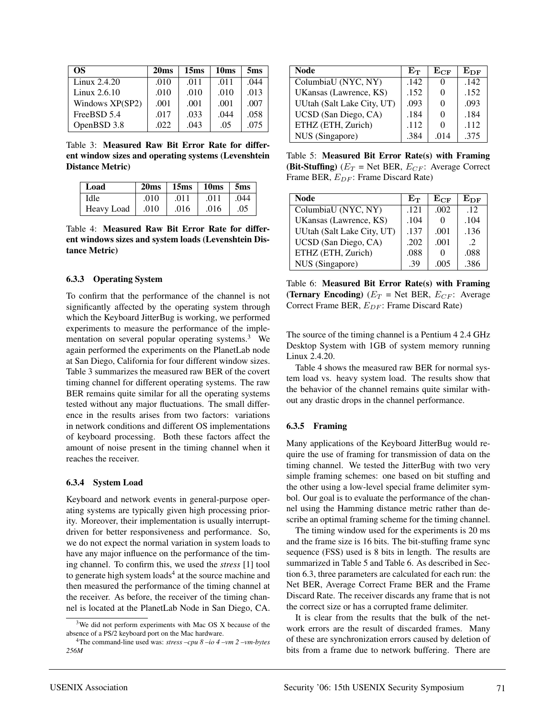| OS.             | 20 <sub>ms</sub> | 15 <sub>ms</sub> | 10 <sub>ms</sub> | 5 <sub>ms</sub> |
|-----------------|------------------|------------------|------------------|-----------------|
| Linux $2.4.20$  | .010             | .011             | .011             | .044            |
| Linux $2.6.10$  | .010             | .010             | .010             | .013            |
| Windows XP(SP2) | .001             | .001             | .001             | .007            |
| FreeBSD 5.4     | .017             | .033             | .044             | .058            |
| OpenBSD 3.8     | .022             | .043             | .05              | .075            |

Table 3: **Measured Raw Bit Error Rate for different window sizes and operating systems (Levenshtein Distance Metric)**

| Load       | 20ms | $15ms$ 10ms |      | 5 <sub>ms</sub> |
|------------|------|-------------|------|-----------------|
| Idle       | .010 | .011        | .011 | .044            |
| Heavy Load | .010 | .016        | .016 | .05             |

Table 4: **Measured Raw Bit Error Rate for different windows sizes and system loads (Levenshtein Distance Metric)**

### **6.3.3 Operating System**

To confirm that the performance of the channel is not significantly affected by the operating system through which the Keyboard JitterBug is working, we performed experiments to measure the performance of the implementation on several popular operating systems.<sup>3</sup> We again performed the experiments on the PlanetLab node at San Diego, California for four different window sizes. Table 3 summarizes the measured raw BER of the covert timing channel for different operating systems. The raw BER remains quite similar for all the operating systems tested without any major fluctuations. The small difference in the results arises from two factors: variations in network conditions and different OS implementations of keyboard processing. Both these factors affect the amount of noise present in the timing channel when it reaches the receiver.

### **6.3.4 System Load**

Keyboard and network events in general-purpose operating systems are typically given high processing priority. Moreover, their implementation is usually interruptdriven for better responsiveness and performance. So, we do not expect the normal variation in system loads to have any major influence on the performance of the timing channel. To confirm this, we used the *stress* [1] tool to generate high system  $loads<sup>4</sup>$  at the source machine and then measured the performance of the timing channel at the receiver. As before, the receiver of the timing channel is located at the PlanetLab Node in San Diego, CA.

| Node                       | $\rm E_{\rm T}$ | $\rm E_{CF}$ | ${\rm E_{DF}}$ |
|----------------------------|-----------------|--------------|----------------|
| ColumbiaU (NYC, NY)        | .142            |              | .142           |
| UKansas (Lawrence, KS)     | .152            |              | .152           |
| UUtah (Salt Lake City, UT) | .093            |              | .093           |
| UCSD (San Diego, CA)       | .184            | $\mathbf{0}$ | .184           |
| ETHZ (ETH, Zurich)         | .112            |              | .112           |
| NUS (Singapore)            | .384            | .014         | .375           |

Table 5: **Measured Bit Error Rate(s) with Framing (Bit-Stuffing)** ( $E_T$  = Net BER,  $E_{CF}$ : Average Correct Frame BER,  $E_{DF}$ : Frame Discard Rate)

| Node                       | $\rm E_{\rm T}$ | $\rm E_{CF}$ | ${\rm E_{DF}}$ |
|----------------------------|-----------------|--------------|----------------|
| ColumbiaU (NYC, NY)        | .121            | .002         | .12            |
| UKansas (Lawrence, KS)     | .104            |              | .104           |
| UUtah (Salt Lake City, UT) | .137            | .001         | .136           |
| UCSD (San Diego, CA)       | .202            | .001         | $\mathcal{L}$  |
| ETHZ (ETH, Zurich)         | .088            |              | .088           |
| NUS (Singapore)            | .39             | .005         | .386           |

Table 6: **Measured Bit Error Rate(s) with Framing (Ternary Encoding)**  $(E_T = \text{Net BER}, E_{CF}$ : Average Correct Frame BER,  $E_{DF}$ : Frame Discard Rate)

The source of the timing channel is a Pentium 4 2.4 GHz Desktop System with 1GB of system memory running Linux 2.4.20.

Table 4 shows the measured raw BER for normal system load vs. heavy system load. The results show that the behavior of the channel remains quite similar without any drastic drops in the channel performance.

### **6.3.5 Framing**

Many applications of the Keyboard JitterBug would require the use of framing for transmission of data on the timing channel. We tested the JitterBug with two very simple framing schemes: one based on bit stuffing and the other using a low-level special frame delimiter symbol. Our goal is to evaluate the performance of the channel using the Hamming distance metric rather than describe an optimal framing scheme for the timing channel.

The timing window used for the experiments is 20 ms and the frame size is 16 bits. The bit-stuffing frame sync sequence (FSS) used is 8 bits in length. The results are summarized in Table 5 and Table 6. As described in Section 6.3, three parameters are calculated for each run: the Net BER, Average Correct Frame BER and the Frame Discard Rate. The receiver discards any frame that is not the correct size or has a corrupted frame delimiter.

It is clear from the results that the bulk of the network errors are the result of discarded frames. Many of these are synchronization errors caused by deletion of bits from a frame due to network buffering. There are

<sup>3</sup>We did not perform experiments with Mac OS X because of the absence of a PS/2 keyboard port on the Mac hardware.

<sup>4</sup>The command-line used was: *stress –cpu 8 –io 4 –vm 2 –vm-bytes 256M*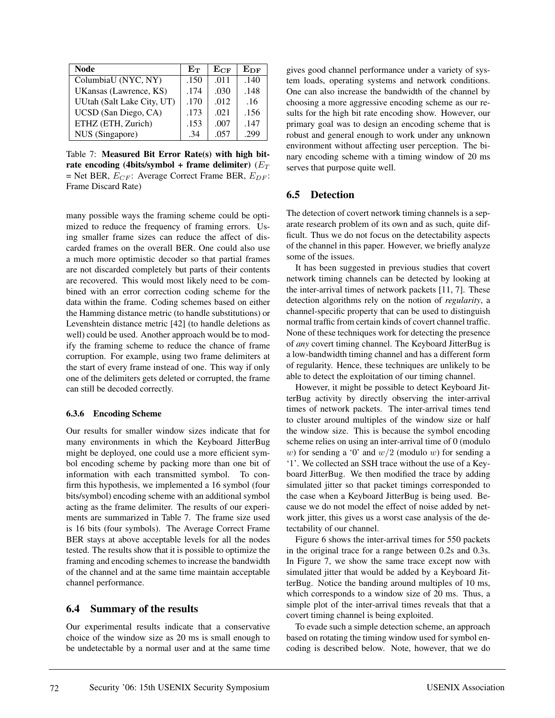| Node                       | $\rm E_{\rm T}$ | $\rm E_{CF}$ | ${\rm E_{DF}}$ |
|----------------------------|-----------------|--------------|----------------|
| ColumbiaU (NYC, NY)        | .150            | .011         | .140           |
| UKansas (Lawrence, KS)     | .174            | .030         | .148           |
| UUtah (Salt Lake City, UT) | .170            | .012         | .16            |
| UCSD (San Diego, CA)       | .173            | .021         | .156           |
| ETHZ (ETH, Zurich)         | .153            | .007         | .147           |
| NUS (Singapore)            | .34             | .057         | .299           |

Table 7: **Measured Bit Error Rate(s) with high bit**rate encoding (4bits/symbol + frame delimiter)  $(E_T)$ = Net BER,  $E_{CF}$ : Average Correct Frame BER,  $E_{DF}$ : Frame Discard Rate)

many possible ways the framing scheme could be optimized to reduce the frequency of framing errors. Using smaller frame sizes can reduce the affect of discarded frames on the overall BER. One could also use a much more optimistic decoder so that partial frames are not discarded completely but parts of their contents are recovered. This would most likely need to be combined with an error correction coding scheme for the data within the frame. Coding schemes based on either the Hamming distance metric (to handle substitutions) or Levenshtein distance metric [42] (to handle deletions as well) could be used. Another approach would be to modify the framing scheme to reduce the chance of frame corruption. For example, using two frame delimiters at the start of every frame instead of one. This way if only one of the delimiters gets deleted or corrupted, the frame can still be decoded correctly.

#### **6.3.6 Encoding Scheme**

Our results for smaller window sizes indicate that for many environments in which the Keyboard JitterBug might be deployed, one could use a more efficient symbol encoding scheme by packing more than one bit of information with each transmitted symbol. To confirm this hypothesis, we implemented a 16 symbol (four bits/symbol) encoding scheme with an additional symbol acting as the frame delimiter. The results of our experiments are summarized in Table 7. The frame size used is 16 bits (four symbols). The Average Correct Frame BER stays at above acceptable levels for all the nodes tested. The results show that it is possible to optimize the framing and encoding schemes to increase the bandwidth of the channel and at the same time maintain acceptable channel performance.

### **6.4 Summary of the results**

Our experimental results indicate that a conservative choice of the window size as 20 ms is small enough to be undetectable by a normal user and at the same time

gives good channel performance under a variety of system loads, operating systems and network conditions. One can also increase the bandwidth of the channel by choosing a more aggressive encoding scheme as our results for the high bit rate encoding show. However, our primary goal was to design an encoding scheme that is robust and general enough to work under any unknown environment without affecting user perception. The binary encoding scheme with a timing window of 20 ms serves that purpose quite well.

### **6.5 Detection**

The detection of covert network timing channels is a separate research problem of its own and as such, quite difficult. Thus we do not focus on the detectability aspects of the channel in this paper. However, we briefly analyze some of the issues.

It has been suggested in previous studies that covert network timing channels can be detected by looking at the inter-arrival times of network packets [11, 7]. These detection algorithms rely on the notion of *regularity*, a channel-specific property that can be used to distinguish normal traffic from certain kinds of covert channel traffic. None of these techniques work for detecting the presence of *any* covert timing channel. The Keyboard JitterBug is a low-bandwidth timing channel and has a different form of regularity. Hence, these techniques are unlikely to be able to detect the exploitation of our timing channel.

However, it might be possible to detect Keyboard JitterBug activity by directly observing the inter-arrival times of network packets. The inter-arrival times tend to cluster around multiples of the window size or half the window size. This is because the symbol encoding scheme relies on using an inter-arrival time of 0 (modulo w) for sending a '0' and  $w/2$  (modulo w) for sending a '1'. We collected an SSH trace without the use of a Keyboard JitterBug. We then modified the trace by adding simulated jitter so that packet timings corresponded to the case when a Keyboard JitterBug is being used. Because we do not model the effect of noise added by network jitter, this gives us a worst case analysis of the detectability of our channel.

Figure 6 shows the inter-arrival times for 550 packets in the original trace for a range between 0.2s and 0.3s. In Figure 7, we show the same trace except now with simulated jitter that would be added by a Keyboard JitterBug. Notice the banding around multiples of 10 ms, which corresponds to a window size of 20 ms. Thus, a simple plot of the inter-arrival times reveals that that a covert timing channel is being exploited.

To evade such a simple detection scheme, an approach based on rotating the timing window used for symbol encoding is described below. Note, however, that we do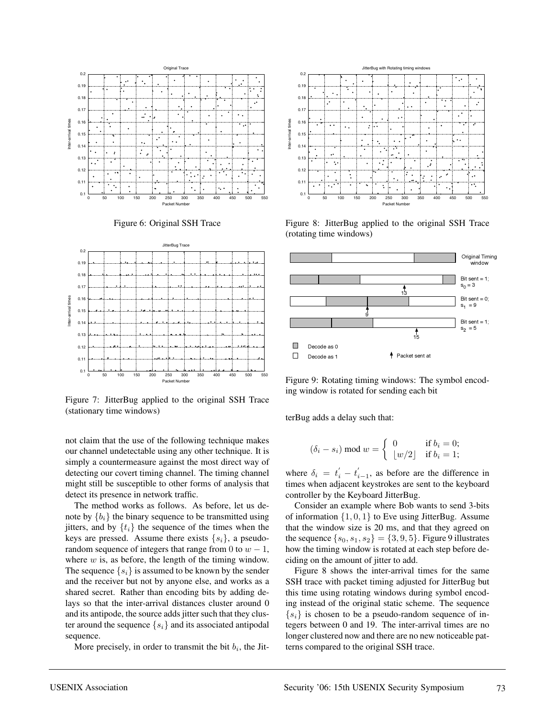





Figure 7: JitterBug applied to the original SSH Trace (stationary time windows)

not claim that the use of the following technique makes our channel undetectable using any other technique. It is simply a countermeasure against the most direct way of detecting our covert timing channel. The timing channel might still be susceptible to other forms of analysis that detect its presence in network traffic.

The method works as follows. As before, let us denote by  ${b_i}$  the binary sequence to be transmitted using jitters, and by  $\{t_i\}$  the sequence of the times when the keys are pressed. Assume there exists  $\{s_i\}$ , a pseudorandom sequence of integers that range from 0 to  $w - 1$ , where  $w$  is, as before, the length of the timing window. The sequence  $\{s_i\}$  is assumed to be known by the sender and the receiver but not by anyone else, and works as a shared secret. Rather than encoding bits by adding delays so that the inter-arrival distances cluster around 0 and its antipode, the source adds jitter such that they cluster around the sequence  $\{s_i\}$  and its associated antipodal sequence.

More precisely, in order to transmit the bit  $b_i$ , the Jit-



Figure 8: JitterBug applied to the original SSH Trace (rotating time windows)



Figure 9: Rotating timing windows: The symbol encoding window is rotated for sending each bit

terBug adds a delay such that:

$$
(\delta_i - s_i) \bmod w = \begin{cases} 0 & \text{if } b_i = 0; \\ \lfloor w/2 \rfloor & \text{if } b_i = 1; \end{cases}
$$

where  $\delta_i = t'_i - t'_{i-1}$ , as before are the difference in times when adjacent keystrokes are sent to the keyboard controller by the Keyboard JitterBug.

Consider an example where Bob wants to send 3-bits of information  $\{1, 0, 1\}$  to Eve using JitterBug. Assume that the window size is 20 ms, and that they agreed on the sequence  $\{s_0, s_1, s_2\} = \{3, 9, 5\}$ . Figure 9 illustrates how the timing window is rotated at each step before deciding on the amount of jitter to add.

Figure 8 shows the inter-arrival times for the same SSH trace with packet timing adjusted for JitterBug but this time using rotating windows during symbol encoding instead of the original static scheme. The sequence  $\{s_i\}$  is chosen to be a pseudo-random sequence of integers between 0 and 19. The inter-arrival times are no longer clustered now and there are no new noticeable patterns compared to the original SSH trace.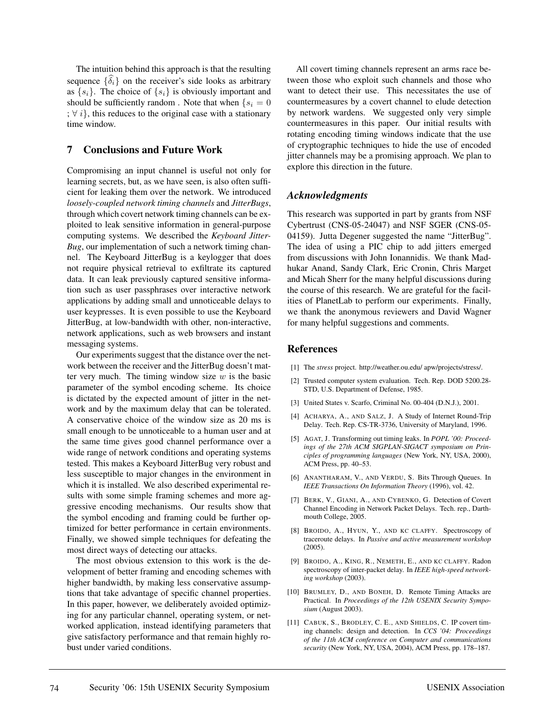The intuition behind this approach is that the resulting sequence  $\{\hat{\delta}_i\}$  on the receiver's side looks as arbitrary as  $\{s_i\}$ . The choice of  $\{s_i\}$  is obviously important and should be sufficiently random. Note that when  $\{s_i = 0\}$ ;  $\forall i$ , this reduces to the original case with a stationary time window.

## **7 Conclusions and Future Work**

Compromising an input channel is useful not only for learning secrets, but, as we have seen, is also often sufficient for leaking them over the network. We introduced *loosely-coupled network timing channels* and *JitterBugs*, through which covert network timing channels can be exploited to leak sensitive information in general-purpose computing systems. We described the *Keyboard Jitter-Bug*, our implementation of such a network timing channel. The Keyboard JitterBug is a keylogger that does not require physical retrieval to exfiltrate its captured data. It can leak previously captured sensitive information such as user passphrases over interactive network applications by adding small and unnoticeable delays to user keypresses. It is even possible to use the Keyboard JitterBug, at low-bandwidth with other, non-interactive, network applications, such as web browsers and instant messaging systems.

Our experiments suggest that the distance over the network between the receiver and the JitterBug doesn't matter very much. The timing window size  $w$  is the basic parameter of the symbol encoding scheme. Its choice is dictated by the expected amount of jitter in the network and by the maximum delay that can be tolerated. A conservative choice of the window size as 20 ms is small enough to be unnoticeable to a human user and at the same time gives good channel performance over a wide range of network conditions and operating systems tested. This makes a Keyboard JitterBug very robust and less susceptible to major changes in the environment in which it is installed. We also described experimental results with some simple framing schemes and more aggressive encoding mechanisms. Our results show that the symbol encoding and framing could be further optimized for better performance in certain environments. Finally, we showed simple techniques for defeating the most direct ways of detecting our attacks.

The most obvious extension to this work is the development of better framing and encoding schemes with higher bandwidth, by making less conservative assumptions that take advantage of specific channel properties. In this paper, however, we deliberately avoided optimizing for any particular channel, operating system, or networked application, instead identifying parameters that give satisfactory performance and that remain highly robust under varied conditions.

All covert timing channels represent an arms race between those who exploit such channels and those who want to detect their use. This necessitates the use of countermeasures by a covert channel to elude detection by network wardens. We suggested only very simple countermeasures in this paper. Our initial results with rotating encoding timing windows indicate that the use of cryptographic techniques to hide the use of encoded jitter channels may be a promising approach. We plan to explore this direction in the future.

## *Acknowledgments*

This research was supported in part by grants from NSF Cybertrust (CNS-05-24047) and NSF SGER (CNS-05- 04159). Jutta Degener suggested the name "JitterBug". The idea of using a PIC chip to add jitters emerged from discussions with John Ionannidis. We thank Madhukar Anand, Sandy Clark, Eric Cronin, Chris Marget and Micah Sherr for the many helpful discussions during the course of this research. We are grateful for the facilities of PlanetLab to perform our experiments. Finally, we thank the anonymous reviewers and David Wagner for many helpful suggestions and comments.

## **References**

- [1] The *stress* project. http://weather.ou.edu/ apw/projects/stress/.
- [2] Trusted computer system evaluation. Tech. Rep. DOD 5200.28- STD, U.S. Department of Defense, 1985.
- [3] United States v. Scarfo, Criminal No. 00-404 (D.N.J.), 2001.
- [4] ACHARYA, A., AND SALZ, J. A Study of Internet Round-Trip Delay. Tech. Rep. CS-TR-3736, University of Maryland, 1996.
- [5] AGAT, J. Transforming out timing leaks. In *POPL '00: Proceedings of the 27th ACM SIGPLAN-SIGACT symposium on Principles of programming languages* (New York, NY, USA, 2000), ACM Press, pp. 40–53.
- [6] ANANTHARAM, V., AND VERDU, S. Bits Through Queues. In *IEEE Transactions On Information Theory* (1996), vol. 42.
- [7] BERK, V., GIANI, A., AND CYBENKO, G. Detection of Covert Channel Encoding in Network Packet Delays. Tech. rep., Darthmouth College, 2005.
- [8] BROIDO, A., HYUN, Y., AND KC CLAFFY. Spectroscopy of traceroute delays. In *Passive and active measurement workshop* (2005).
- [9] BROIDO, A., KING, R., NEMETH, E., AND KC CLAFFY. Radon spectroscopy of inter-packet delay. In *IEEE high-speed networking workshop* (2003).
- [10] BRUMLEY, D., AND BONEH, D. Remote Timing Attacks are Practical. In *Proceedings of the 12th USENIX Security Symposium* (August 2003).
- [11] CABUK, S., BRODLEY, C. E., AND SHIELDS, C. IP covert timing channels: design and detection. In *CCS '04: Proceedings of the 11th ACM conference on Computer and communications security* (New York, NY, USA, 2004), ACM Press, pp. 178–187.